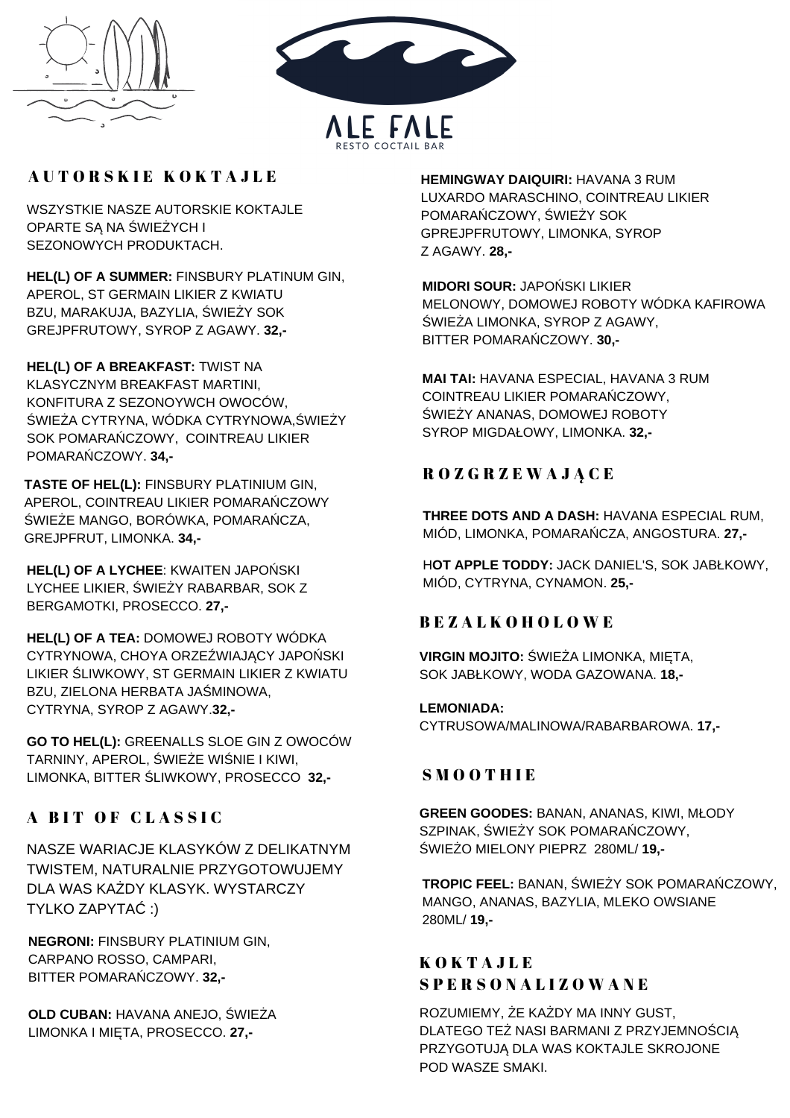



# AUTORSKIE KOKTAJLE

WSZYSTKIE NASZE AUTORSKIE KOKTAJLE OPARTE SĄ NA ŚWIEŻYCH I SEZONOWYCH PRODUKTACH.

**HEL(L) OF A SUMMER:** FINSBURY PLATINUM GIN, APEROL, ST GERMAIN LIKIER Z KWIATU BZU, MARAKUJA, BAZYLIA, ŚWIEŻY SOK GREJPFRUTOWY, SYROP Z AGAWY. **32,-**

**HEL(L) OF A BREAKFAST:** TWIST NA KLASYCZNYM BREAKFAST MARTINI, KONFITURA Z SEZONOYWCH OWOCÓW, ŚWIEŻA CYTRYNA, WÓDKA CYTRYNOWA,ŚWIEŻY SOK POMARAŃCZOWY, COINTREAU LIKIER POMARAŃCZOWY. **34,-**

**TASTE OF HEL(L):** FINSBURY PLATINIUM GIN, APEROL, COINTREAU LIKIER POMARAŃCZOWY ŚWIEŻE MANGO, BORÓWKA, POMARAŃCZA, GREJPFRUT, LIMONKA. **34,-**

**HEL(L) OF A LYCHEE**: KWAITEN JAPOŃSKI LYCHEE LIKIER, ŚWIEŻY RABARBAR, SOK Z BERGAMOTKI, PROSECCO. **27,-**

**HEL(L) OF A TEA:** DOMOWEJ ROBOTY WÓDKA CYTRYNOWA, CHOYA ORZEŹWIAJĄCY JAPOŃSKI LIKIER ŚLIWKOWY, ST GERMAIN LIKIER Z KWIATU BZU, ZIELONA HERBATA JAŚMINOWA, CYTRYNA, SYROP Z AGAWY.**32,-**

**GO TO HEL(L):** GREENALLS SLOE GIN Z OWOCÓW TARNINY, APEROL, ŚWIEŻE WIŚNIE I KIWI, LIMONKA, BITTER ŚLIWKOWY, PROSECCO **32,-** S M O O T H I E

# A BIT OF CLASSIC

NASZE WARIACJE KLASYKÓW Z DELIKATNYM TWISTEM, NATURALNIE PRZYGOTOWUJEMY DLA WAS KAŻDY KLASYK. WYSTARCZY TYLKO ZAPYTAĆ :)

**NEGRONI:** FINSBURY PLATINIUM GIN, CARPANO ROSSO, CAMPARI, BITTER POMARAŃCZOWY. **32,-**

**OLD CUBAN:** HAVANA ANEJO, ŚWIEŻA LIMONKA I MIĘTA, PROSECCO. **27,-**

**HEMINGWAY DAIQUIRI:** HAVANA 3 RUM LUXARDO MARASCHINO, COINTREAU LIKIER POMARAŃCZOWY, ŚWIEŻY SOK GPREJPFRUTOWY, LIMONKA, SYROP Z AGAWY. **28,-**

**MIDORI SOUR:** JAPOŃSKI LIKIER MELONOWY, DOMOWEJ ROBOTY WÓDKA KAFIROWA ŚWIEŻA LIMONKA, SYROP Z AGAWY, BITTER POMARAŃCZOWY. **30,-**

**MAI TAI:** HAVANA ESPECIAL, HAVANA 3 RUM COINTREAU LIKIER POMARAŃCZOWY, ŚWIEŻY ANANAS, DOMOWEJ ROBOTY SYROP MIGDAŁOWY, LIMONKA. **32,-**

# R O Z G R Z E W A J Ą C E

**THREE DOTS AND A DASH:** HAVANA ESPECIAL RUM, MIÓD, LIMONKA, POMARAŃCZA, ANGOSTURA. **27,-**

H**OT APPLE TODDY:** JACK DANIEL'S, SOK JABŁKOWY, MIÓD, CYTRYNA, CYNAMON. **25,-**

# B E Z A L K O H O L O W E

**VIRGIN MOJITO:** ŚWIEŻA LIMONKA, MIĘTA, SOK JABŁKOWY, WODA GAZOWANA. **18,-**

**LEMONIADA:** CYTRUSOWA/MALINOWA/RABARBAROWA. **17,-**

**GREEN GOODES:** BANAN, ANANAS, KIWI, MŁODY SZPINAK, ŚWIEŻY SOK POMARAŃCZOWY, ŚWIEŻO MIELONY PIEPRZ 280ML/ **19,-**

**TROPIC FEEL:** BANAN, ŚWIEŻY SOK POMARAŃCZOWY, MANGO, ANANAS, BAZYLIA, MLEKO OWSIANE 280ML/ **19,-**

# **KOKTAJLE** S P E R S O N A L I Z O W A N E

ROZUMIEMY, ŻE KAŻDY MA INNY GUST, DLATEGO TEŻ NASI BARMANI Z PRZYJEMNOŚCIĄ PRZYGOTUJĄ DLA WAS KOKTAJLE SKROJONE POD WASZE SMAKI.